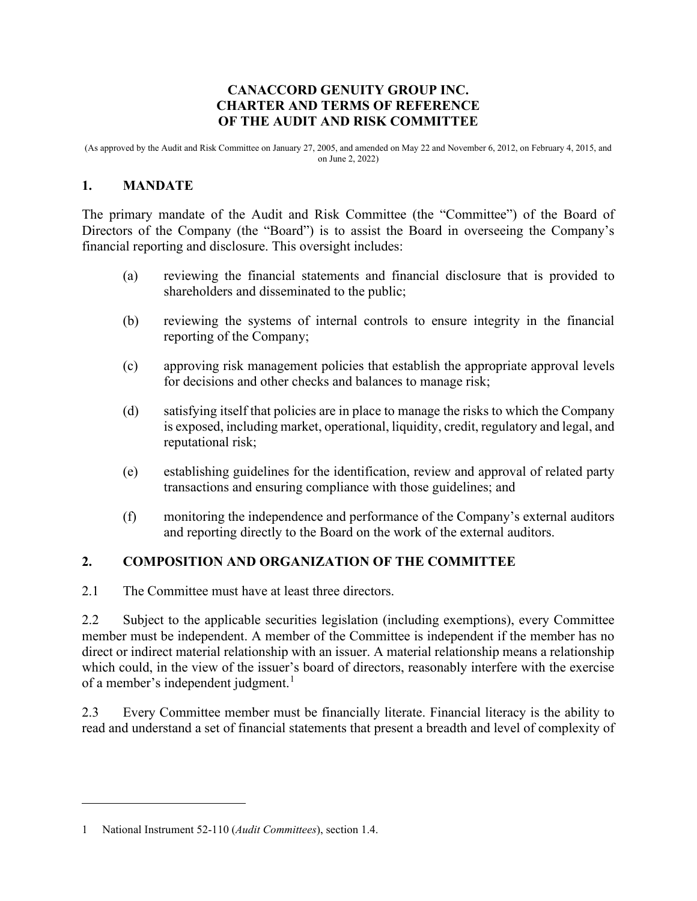### **CANACCORD GENUITY GROUP INC. CHARTER AND TERMS OF REFERENCE OF THE AUDIT AND RISK COMMITTEE**

(As approved by the Audit and Risk Committee on January 27, 2005, and amended on May 22 and November 6, 2012, on February 4, 2015, and on June 2, 2022)

## **1. MANDATE**

The primary mandate of the Audit and Risk Committee (the "Committee") of the Board of Directors of the Company (the "Board") is to assist the Board in overseeing the Company's financial reporting and disclosure. This oversight includes:

- (a) reviewing the financial statements and financial disclosure that is provided to shareholders and disseminated to the public;
- (b) reviewing the systems of internal controls to ensure integrity in the financial reporting of the Company;
- (c) approving risk management policies that establish the appropriate approval levels for decisions and other checks and balances to manage risk;
- (d) satisfying itself that policies are in place to manage the risks to which the Company is exposed, including market, operational, liquidity, credit, regulatory and legal, and reputational risk;
- (e) establishing guidelines for the identification, review and approval of related party transactions and ensuring compliance with those guidelines; and
- (f) monitoring the independence and performance of the Company's external auditors and reporting directly to the Board on the work of the external auditors.

# **2. COMPOSITION AND ORGANIZATION OF THE COMMITTEE**

2.1 The Committee must have at least three directors.

2.2 Subject to the applicable securities legislation (including exemptions), every Committee member must be independent. A member of the Committee is independent if the member has no direct or indirect material relationship with an issuer. A material relationship means a relationship which could, in the view of the issuer's board of directors, reasonably interfere with the exercise of a member's independent judgment.<sup>1</sup>

2.3 Every Committee member must be financially literate. Financial literacy is the ability to read and understand a set of financial statements that present a breadth and level of complexity of

<sup>1</sup> National Instrument 52-110 (*Audit Committees*), section 1.4.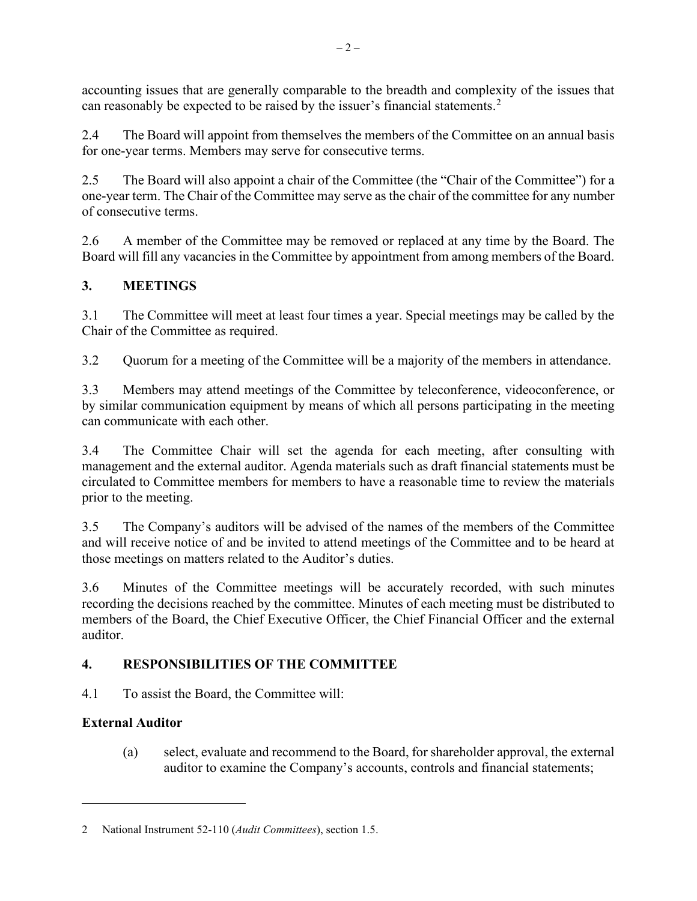accounting issues that are generally comparable to the breadth and complexity of the issues that can reasonably be expected to be raised by the issuer's financial statements.<sup>2</sup>

2.4 The Board will appoint from themselves the members of the Committee on an annual basis for one-year terms. Members may serve for consecutive terms.

2.5 The Board will also appoint a chair of the Committee (the "Chair of the Committee") for a one-year term. The Chair of the Committee may serve as the chair of the committee for any number of consecutive terms.

2.6 A member of the Committee may be removed or replaced at any time by the Board. The Board will fill any vacancies in the Committee by appointment from among members of the Board.

# **3. MEETINGS**

3.1 The Committee will meet at least four times a year. Special meetings may be called by the Chair of the Committee as required.

3.2 Quorum for a meeting of the Committee will be a majority of the members in attendance.

3.3 Members may attend meetings of the Committee by teleconference, videoconference, or by similar communication equipment by means of which all persons participating in the meeting can communicate with each other.

3.4 The Committee Chair will set the agenda for each meeting, after consulting with management and the external auditor. Agenda materials such as draft financial statements must be circulated to Committee members for members to have a reasonable time to review the materials prior to the meeting.

3.5 The Company's auditors will be advised of the names of the members of the Committee and will receive notice of and be invited to attend meetings of the Committee and to be heard at those meetings on matters related to the Auditor's duties.

3.6 Minutes of the Committee meetings will be accurately recorded, with such minutes recording the decisions reached by the committee. Minutes of each meeting must be distributed to members of the Board, the Chief Executive Officer, the Chief Financial Officer and the external auditor.

# **4. RESPONSIBILITIES OF THE COMMITTEE**

4.1 To assist the Board, the Committee will:

# **External Auditor**

(a) select, evaluate and recommend to the Board, for shareholder approval, the external auditor to examine the Company's accounts, controls and financial statements;

<sup>2</sup> National Instrument 52-110 (*Audit Committees*), section 1.5.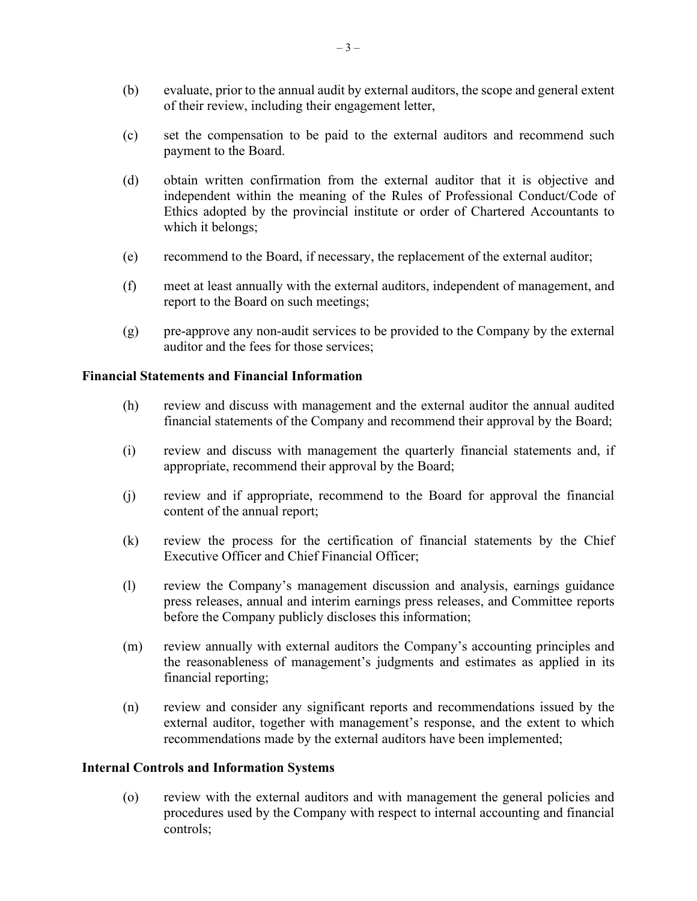- (b) evaluate, prior to the annual audit by external auditors, the scope and general extent of their review, including their engagement letter,
- (c) set the compensation to be paid to the external auditors and recommend such payment to the Board.
- (d) obtain written confirmation from the external auditor that it is objective and independent within the meaning of the Rules of Professional Conduct/Code of Ethics adopted by the provincial institute or order of Chartered Accountants to which it belongs;
- (e) recommend to the Board, if necessary, the replacement of the external auditor;
- (f) meet at least annually with the external auditors, independent of management, and report to the Board on such meetings;
- (g) pre-approve any non-audit services to be provided to the Company by the external auditor and the fees for those services;

#### **Financial Statements and Financial Information**

- (h) review and discuss with management and the external auditor the annual audited financial statements of the Company and recommend their approval by the Board;
- (i) review and discuss with management the quarterly financial statements and, if appropriate, recommend their approval by the Board;
- (j) review and if appropriate, recommend to the Board for approval the financial content of the annual report;
- (k) review the process for the certification of financial statements by the Chief Executive Officer and Chief Financial Officer;
- (l) review the Company's management discussion and analysis, earnings guidance press releases, annual and interim earnings press releases, and Committee reports before the Company publicly discloses this information;
- (m) review annually with external auditors the Company's accounting principles and the reasonableness of management's judgments and estimates as applied in its financial reporting;
- (n) review and consider any significant reports and recommendations issued by the external auditor, together with management's response, and the extent to which recommendations made by the external auditors have been implemented;

#### **Internal Controls and Information Systems**

(o) review with the external auditors and with management the general policies and procedures used by the Company with respect to internal accounting and financial controls;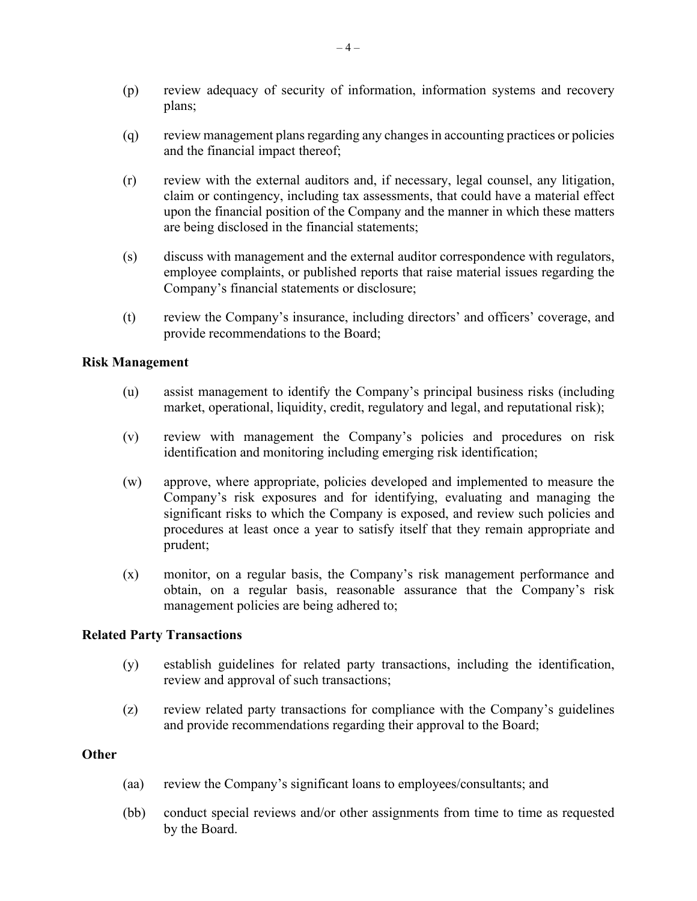- (p) review adequacy of security of information, information systems and recovery plans;
- (q) review management plans regarding any changes in accounting practices or policies and the financial impact thereof;
- (r) review with the external auditors and, if necessary, legal counsel, any litigation, claim or contingency, including tax assessments, that could have a material effect upon the financial position of the Company and the manner in which these matters are being disclosed in the financial statements;
- (s) discuss with management and the external auditor correspondence with regulators, employee complaints, or published reports that raise material issues regarding the Company's financial statements or disclosure;
- (t) review the Company's insurance, including directors' and officers' coverage, and provide recommendations to the Board;

#### **Risk Management**

- (u) assist management to identify the Company's principal business risks (including market, operational, liquidity, credit, regulatory and legal, and reputational risk);
- (v) review with management the Company's policies and procedures on risk identification and monitoring including emerging risk identification;
- (w) approve, where appropriate, policies developed and implemented to measure the Company's risk exposures and for identifying, evaluating and managing the significant risks to which the Company is exposed, and review such policies and procedures at least once a year to satisfy itself that they remain appropriate and prudent;
- (x) monitor, on a regular basis, the Company's risk management performance and obtain, on a regular basis, reasonable assurance that the Company's risk management policies are being adhered to;

### **Related Party Transactions**

- (y) establish guidelines for related party transactions, including the identification, review and approval of such transactions;
- (z) review related party transactions for compliance with the Company's guidelines and provide recommendations regarding their approval to the Board;

#### **Other**

- (aa) review the Company's significant loans to employees/consultants; and
- (bb) conduct special reviews and/or other assignments from time to time as requested by the Board.